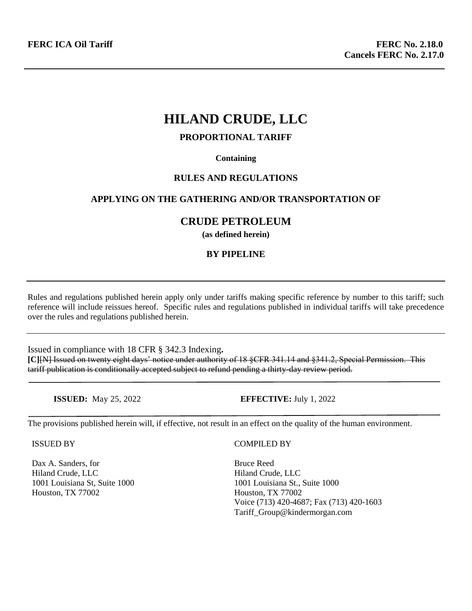# **HILAND CRUDE, LLC**

# **PROPORTIONAL TARIFF**

#### **Containing**

# **RULES AND REGULATIONS**

# **APPLYING ON THE GATHERING AND/OR TRANSPORTATION OF**

# **CRUDE PETROLEUM**

**(as defined herein)**

# **BY PIPELINE**

Rules and regulations published herein apply only under tariffs making specific reference by number to this tariff; such reference will include reissues hereof. Specific rules and regulations published in individual tariffs will take precedence over the rules and regulations published herein.

Issued in compliance with 18 CFR § 342.3 Indexing**. [C]**[N] Issued on twenty eight days' notice under authority of 18 §CFR 341.14 and §341.2, Special Permission. This tariff publication is conditionally accepted subject to refund pending a thirty-day review period.

**ISSUED:** May 25, 2022 **EFFECTIVE:** July 1, 2022

The provisions published herein will, if effective, not result in an effect on the quality of the human environment.

ISSUED BY

Dax A. Sanders, for Hiland Crude, LLC 1001 Louisiana St, Suite 1000 Houston, TX 77002

COMPILED BY

Bruce Reed Hiland Crude, LLC 1001 Louisiana St., Suite 1000 Houston, TX 77002 Voice (713) 420-4687; Fax (713) 420-1603 Tariff\_Group@kindermorgan.com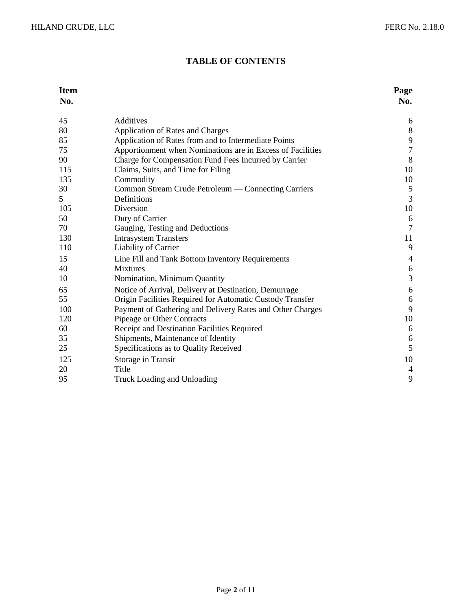# **TABLE OF CONTENTS**

# **Item Page**

| 45             | Additives                                                           | 6              |
|----------------|---------------------------------------------------------------------|----------------|
| 80             | Application of Rates and Charges                                    | $8\,$          |
| 85             | Application of Rates from and to Intermediate Points                | 9              |
| 75             | Apportionment when Nominations are in Excess of Facilities          | $\overline{7}$ |
| 90             | Charge for Compensation Fund Fees Incurred by Carrier               | 8              |
| 115            | Claims, Suits, and Time for Filing                                  | 10             |
| 135            | Commodity                                                           | 10             |
| 30             | Common Stream Crude Petroleum — Connecting Carriers                 | $\sqrt{5}$     |
| 5 <sup>5</sup> | Definitions                                                         | 3              |
| 105            | Diversion                                                           | 10             |
| 50             | Duty of Carrier                                                     | 6              |
| 70             | Gauging, Testing and Deductions                                     | $\tau$         |
| 130            | <b>Intrasystem Transfers</b>                                        | 11             |
| 110            | Liability of Carrier                                                | 9              |
|                |                                                                     | $\overline{4}$ |
| 15<br>40       | Line Fill and Tank Bottom Inventory Requirements<br><b>Mixtures</b> |                |
|                |                                                                     | $6\,$<br>3     |
| 10             | Nomination, Minimum Quantity                                        |                |
| 65             | Notice of Arrival, Delivery at Destination, Demurrage               | 6              |
| 55             | Origin Facilities Required for Automatic Custody Transfer           | 6              |
| 100            | Payment of Gathering and Delivery Rates and Other Charges           | 9              |
| 120            | Pipeage or Other Contracts                                          | 10             |
| 60             | Receipt and Destination Facilities Required                         | 6              |
| 35             | Shipments, Maintenance of Identity                                  | $\sqrt{6}$     |
| 25             | Specifications as to Quality Received                               | 5              |
| 125            | Storage in Transit                                                  | 10             |
| 20             | Title                                                               | $\overline{4}$ |
| 95             | Truck Loading and Unloading                                         | 9              |
|                |                                                                     |                |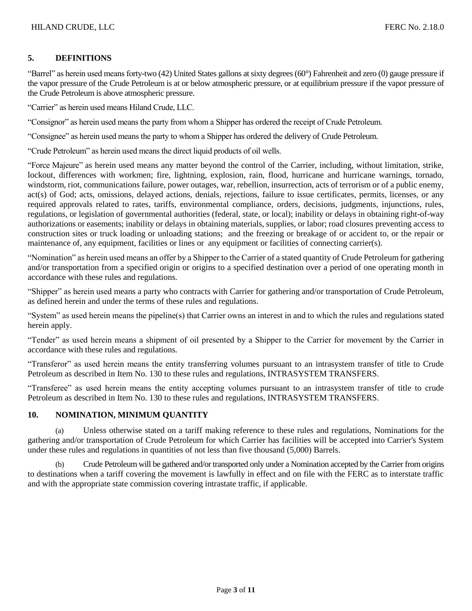# **5. DEFINITIONS**

"Barrel" as herein used means forty-two (42) United States gallons at sixty degrees (60°) Fahrenheit and zero (0) gauge pressure if the vapor pressure of the Crude Petroleum is at or below atmospheric pressure, or at equilibrium pressure if the vapor pressure of the Crude Petroleum is above atmospheric pressure.

"Carrier" as herein used means Hiland Crude, LLC.

"Consignor" as herein used means the party from whom a Shipper has ordered the receipt of Crude Petroleum.

"Consignee" as herein used means the party to whom a Shipper has ordered the delivery of Crude Petroleum.

"Crude Petroleum" as herein used means the direct liquid products of oil wells.

"Force Majeure" as herein used means any matter beyond the control of the Carrier, including, without limitation, strike, lockout, differences with workmen; fire, lightning, explosion, rain, flood, hurricane and hurricane warnings, tornado, windstorm, riot, communications failure, power outages, war, rebellion, insurrection, acts of terrorism or of a public enemy, act(s) of God; acts, omissions, delayed actions, denials, rejections, failure to issue certificates, permits, licenses, or any required approvals related to rates, tariffs, environmental compliance, orders, decisions, judgments, injunctions, rules, regulations, or legislation of governmental authorities (federal, state, or local); inability or delays in obtaining right-of-way authorizations or easements; inability or delays in obtaining materials, supplies, or labor; road closures preventing access to construction sites or truck loading or unloading stations; and the freezing or breakage of or accident to, or the repair or maintenance of, any equipment, facilities or lines or any equipment or facilities of connecting carrier(s).

"Nomination" as herein used means an offer by a Shipper to the Carrier of a stated quantity of Crude Petroleum for gathering and/or transportation from a specified origin or origins to a specified destination over a period of one operating month in accordance with these rules and regulations.

"Shipper" as herein used means a party who contracts with Carrier for gathering and/or transportation of Crude Petroleum, as defined herein and under the terms of these rules and regulations.

"System" as used herein means the pipeline(s) that Carrier owns an interest in and to which the rules and regulations stated herein apply.

"Tender" as used herein means a shipment of oil presented by a Shipper to the Carrier for movement by the Carrier in accordance with these rules and regulations.

"Transferor" as used herein means the entity transferring volumes pursuant to an intrasystem transfer of title to Crude Petroleum as described in Item No. 130 to these rules and regulations, INTRASYSTEM TRANSFERS.

"Transferee" as used herein means the entity accepting volumes pursuant to an intrasystem transfer of title to crude Petroleum as described in Item No. 130 to these rules and regulations, INTRASYSTEM TRANSFERS.

#### **10. NOMINATION, MINIMUM QUANTITY**

(a) Unless otherwise stated on a tariff making reference to these rules and regulations, Nominations for the gathering and/or transportation of Crude Petroleum for which Carrier has facilities will be accepted into Carrier's System under these rules and regulations in quantities of not less than five thousand (5,000) Barrels.

(b) Crude Petroleum will be gathered and/or transported only under a Nomination accepted by the Carrier from origins to destinations when a tariff covering the movement is lawfully in effect and on file with the FERC as to interstate traffic and with the appropriate state commission covering intrastate traffic, if applicable.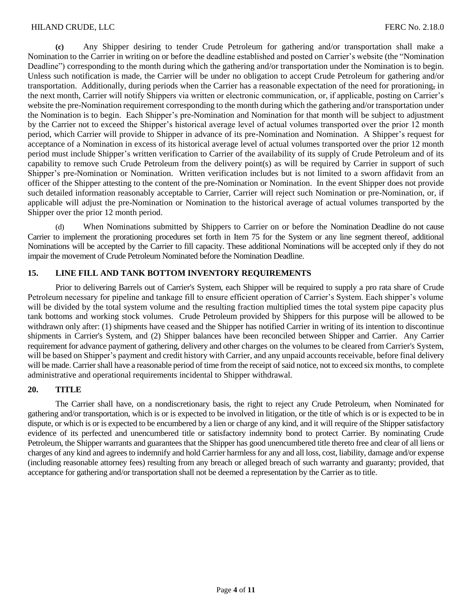**(c)** Any Shipper desiring to tender Crude Petroleum for gathering and/or transportation shall make a Nomination to the Carrier in writing on or before the deadline established and posted on Carrier's website (the "Nomination Deadline") corresponding to the month during which the gathering and/or transportation under the Nomination is to begin. Unless such notification is made, the Carrier will be under no obligation to accept Crude Petroleum for gathering and/or transportation. Additionally, during periods when the Carrier has a reasonable expectation of the need for prorationing, in the next month, Carrier will notify Shippers via written or electronic communication, or, if applicable, posting on Carrier's website the pre-Nomination requirement corresponding to the month during which the gathering and/or transportation under the Nomination is to begin. Each Shipper's pre-Nomination and Nomination for that month will be subject to adjustment by the Carrier not to exceed the Shipper's historical average level of actual volumes transported over the prior 12 month period, which Carrier will provide to Shipper in advance of its pre-Nomination and Nomination. A Shipper's request for acceptance of a Nomination in excess of its historical average level of actual volumes transported over the prior 12 month period must include Shipper's written verification to Carrier of the availability of its supply of Crude Petroleum and of its capability to remove such Crude Petroleum from the delivery point(s) as will be required by Carrier in support of such Shipper's pre-Nomination or Nomination. Written verification includes but is not limited to a sworn affidavit from an officer of the Shipper attesting to the content of the pre-Nomination or Nomination. In the event Shipper does not provide such detailed information reasonably acceptable to Carrier, Carrier will reject such Nomination or pre-Nomination, or, if applicable will adjust the pre-Nomination or Nomination to the historical average of actual volumes transported by the Shipper over the prior 12 month period.

(d) When Nominations submitted by Shippers to Carrier on or before the Nomination Deadline do not cause Carrier to implement the prorationing procedures set forth in Item 75 for the System or any line segment thereof, additional Nominations will be accepted by the Carrier to fill capacity. These additional Nominations will be accepted only if they do not impair the movement of Crude Petroleum Nominated before the Nomination Deadline.

# **15. LINE FILL AND TANK BOTTOM INVENTORY REQUIREMENTS**

Prior to delivering Barrels out of Carrier's System, each Shipper will be required to supply a pro rata share of Crude Petroleum necessary for pipeline and tankage fill to ensure efficient operation of Carrier's System. Each shipper's volume will be divided by the total system volume and the resulting fraction multiplied times the total system pipe capacity plus tank bottoms and working stock volumes. Crude Petroleum provided by Shippers for this purpose will be allowed to be withdrawn only after: (1) shipments have ceased and the Shipper has notified Carrier in writing of its intention to discontinue shipments in Carrier's System, and (2) Shipper balances have been reconciled between Shipper and Carrier. Any Carrier requirement for advance payment of gathering, delivery and other charges on the volumes to be cleared from Carrier's System, will be based on Shipper's payment and credit history with Carrier, and any unpaid accounts receivable, before final delivery will be made. Carrier shall have a reasonable period of time from the receipt of said notice, not to exceed six months, to complete administrative and operational requirements incidental to Shipper withdrawal.

#### **20. TITLE**

The Carrier shall have, on a nondiscretionary basis, the right to reject any Crude Petroleum, when Nominated for gathering and/or transportation, which is or is expected to be involved in litigation, or the title of which is or is expected to be in dispute, or which is or is expected to be encumbered by a lien or charge of any kind, and it will require of the Shipper satisfactory evidence of its perfected and unencumbered title or satisfactory indemnity bond to protect Carrier. By nominating Crude Petroleum, the Shipper warrants and guarantees that the Shipper has good unencumbered title thereto free and clear of all liens or charges of any kind and agrees to indemnify and hold Carrier harmless for any and all loss, cost, liability, damage and/or expense (including reasonable attorney fees) resulting from any breach or alleged breach of such warranty and guaranty; provided, that acceptance for gathering and/or transportation shall not be deemed a representation by the Carrier as to title.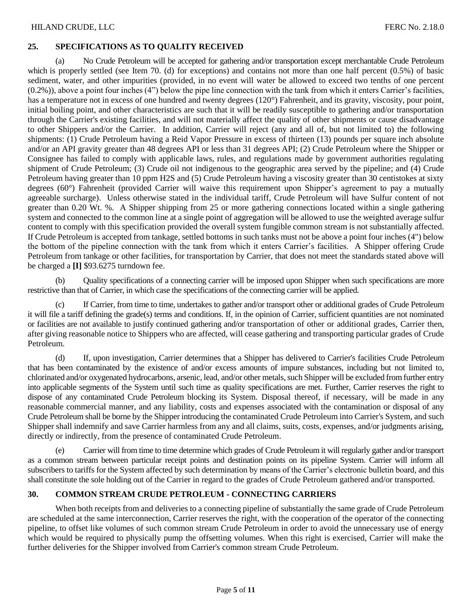# **25. SPECIFICATIONS AS TO QUALITY RECEIVED**

No Crude Petroleum will be accepted for gathering and/or transportation except merchantable Crude Petroleum which is properly settled (see Item 70. (d) for exceptions) and contains not more than one half percent (0.5%) of basic sediment, water, and other impurities (provided, in no event will water be allowed to exceed two tenths of one percent (0.2%)), above a point four inches (4") below the pipe line connection with the tank from which it enters Carrier's facilities, has a temperature not in excess of one hundred and twenty degrees (120°) Fahrenheit, and its gravity, viscosity, pour point, initial boiling point, and other characteristics are such that it will be readily susceptible to gathering and/or transportation through the Carrier's existing facilities, and will not materially affect the quality of other shipments or cause disadvantage to other Shippers and/or the Carrier. In addition, Carrier will reject (any and all of, but not limited to) the following shipments: (1) Crude Petroleum having a Reid Vapor Pressure in excess of thirteen (13) pounds per square inch absolute and/or an API gravity greater than 48 degrees API or less than 31 degrees API; (2) Crude Petroleum where the Shipper or Consignee has failed to comply with applicable laws, rules, and regulations made by government authorities regulating shipment of Crude Petroleum; (3) Crude oil not indigenous to the geographic area served by the pipeline; and (4) Crude Petroleum having greater than 10 ppm H2S and (5) Crude Petroleum having a viscosity greater than 30 centistokes at sixty degrees (60°) Fahrenheit (provided Carrier will waive this requirement upon Shipper's agreement to pay a mutually agreeable surcharge). Unless otherwise stated in the individual tariff, Crude Petroleum will have Sulfur content of not greater than 0.20 Wt. %. A Shipper shipping from 25 or more gathering connections located within a single gathering system and connected to the common line at a single point of aggregation will be allowed to use the weighted average sulfur content to comply with this specification provided the overall system fungible common stream is not substantially affected. If Crude Petroleum is accepted from tankage, settled bottoms in such tanks must not be above a point four inches (4") below the bottom of the pipeline connection with the tank from which it enters Carrier's facilities. A Shipper offering Crude Petroleum from tankage or other facilities, for transportation by Carrier, that does not meet the standards stated above will be charged a **[I]** \$93.6275 turndown fee.

(b) Quality specifications of a connecting carrier will be imposed upon Shipper when such specifications are more restrictive than that of Carrier, in which case the specifications of the connecting carrier will be applied.

If Carrier, from time to time, undertakes to gather and/or transport other or additional grades of Crude Petroleum it will file a tariff defining the grade(s) terms and conditions. If, in the opinion of Carrier, sufficient quantities are not nominated or facilities are not available to justify continued gathering and/or transportation of other or additional grades, Carrier then, after giving reasonable notice to Shippers who are affected, will cease gathering and transporting particular grades of Crude Petroleum.

(d) If, upon investigation, Carrier determines that a Shipper has delivered to Carrier's facilities Crude Petroleum that has been contaminated by the existence of and/or excess amounts of impure substances, including but not limited to, chlorinated and/or oxygenated hydrocarbons, arsenic, lead, and/or other metals, such Shipper will be excluded from further entry into applicable segments of the System until such time as quality specifications are met. Further, Carrier reserves the right to dispose of any contaminated Crude Petroleum blocking its System. Disposal thereof, if necessary, will be made in any reasonable commercial manner, and any liability, costs and expenses associated with the contamination or disposal of any Crude Petroleum shall be borne by the Shipper introducing the contaminated Crude Petroleum into Carrier's System, and such Shipper shall indemnify and save Carrier harmless from any and all claims, suits, costs, expenses, and/or judgments arising, directly or indirectly, from the presence of contaminated Crude Petroleum.

Carrier will from time to time determine which grades of Crude Petroleum it will regularly gather and/or transport as a common stream between particular receipt points and destination points on its pipeline System. Carrier will inform all subscribers to tariffs for the System affected by such determination by means of the Carrier's electronic bulletin board, and this shall constitute the sole holding out of the Carrier in regard to the grades of Crude Petroleum gathered and/or transported.

#### **30. COMMON STREAM CRUDE PETROLEUM - CONNECTING CARRIERS**

When both receipts from and deliveries to a connecting pipeline of substantially the same grade of Crude Petroleum are scheduled at the same interconnection, Carrier reserves the right, with the cooperation of the operator of the connecting pipeline, to offset like volumes of such common stream Crude Petroleum in order to avoid the unnecessary use of energy which would be required to physically pump the offsetting volumes. When this right is exercised, Carrier will make the further deliveries for the Shipper involved from Carrier's common stream Crude Petroleum.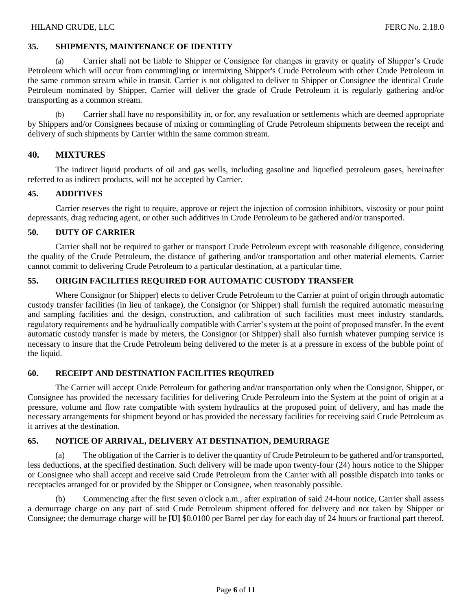# **35. SHIPMENTS, MAINTENANCE OF IDENTITY**

Carrier shall not be liable to Shipper or Consignee for changes in gravity or quality of Shipper's Crude Petroleum which will occur from commingling or intermixing Shipper's Crude Petroleum with other Crude Petroleum in the same common stream while in transit. Carrier is not obligated to deliver to Shipper or Consignee the identical Crude Petroleum nominated by Shipper, Carrier will deliver the grade of Crude Petroleum it is regularly gathering and/or transporting as a common stream.

(b) Carrier shall have no responsibility in, or for, any revaluation or settlements which are deemed appropriate by Shippers and/or Consignees because of mixing or commingling of Crude Petroleum shipments between the receipt and delivery of such shipments by Carrier within the same common stream.

# **40. MIXTURES**

The indirect liquid products of oil and gas wells, including gasoline and liquefied petroleum gases, hereinafter referred to as indirect products, will not be accepted by Carrier.

#### **45. ADDITIVES**

Carrier reserves the right to require, approve or reject the injection of corrosion inhibitors, viscosity or pour point depressants, drag reducing agent, or other such additives in Crude Petroleum to be gathered and/or transported.

#### **50. DUTY OF CARRIER**

Carrier shall not be required to gather or transport Crude Petroleum except with reasonable diligence, considering the quality of the Crude Petroleum, the distance of gathering and/or transportation and other material elements. Carrier cannot commit to delivering Crude Petroleum to a particular destination, at a particular time.

# **55. ORIGIN FACILITIES REQUIRED FOR AUTOMATIC CUSTODY TRANSFER**

Where Consignor (or Shipper) elects to deliver Crude Petroleum to the Carrier at point of origin through automatic custody transfer facilities (in lieu of tankage), the Consignor (or Shipper) shall furnish the required automatic measuring and sampling facilities and the design, construction, and calibration of such facilities must meet industry standards, regulatory requirements and be hydraulically compatible with Carrier's system at the point of proposed transfer. In the event automatic custody transfer is made by meters, the Consignor (or Shipper) shall also furnish whatever pumping service is necessary to insure that the Crude Petroleum being delivered to the meter is at a pressure in excess of the bubble point of the liquid.

#### **60. RECEIPT AND DESTINATION FACILITIES REQUIRED**

The Carrier will accept Crude Petroleum for gathering and/or transportation only when the Consignor, Shipper, or Consignee has provided the necessary facilities for delivering Crude Petroleum into the System at the point of origin at a pressure, volume and flow rate compatible with system hydraulics at the proposed point of delivery, and has made the necessary arrangements for shipment beyond or has provided the necessary facilities for receiving said Crude Petroleum as it arrives at the destination.

#### **65. NOTICE OF ARRIVAL, DELIVERY AT DESTINATION, DEMURRAGE**

(a) The obligation of the Carrier is to deliver the quantity of Crude Petroleum to be gathered and/or transported, less deductions, at the specified destination. Such delivery will be made upon twenty-four (24) hours notice to the Shipper or Consignee who shall accept and receive said Crude Petroleum from the Carrier with all possible dispatch into tanks or receptacles arranged for or provided by the Shipper or Consignee, when reasonably possible.

Commencing after the first seven o'clock a.m., after expiration of said 24-hour notice, Carrier shall assess a demurrage charge on any part of said Crude Petroleum shipment offered for delivery and not taken by Shipper or Consignee; the demurrage charge will be **[U]** \$0.0100 per Barrel per day for each day of 24 hours or fractional part thereof.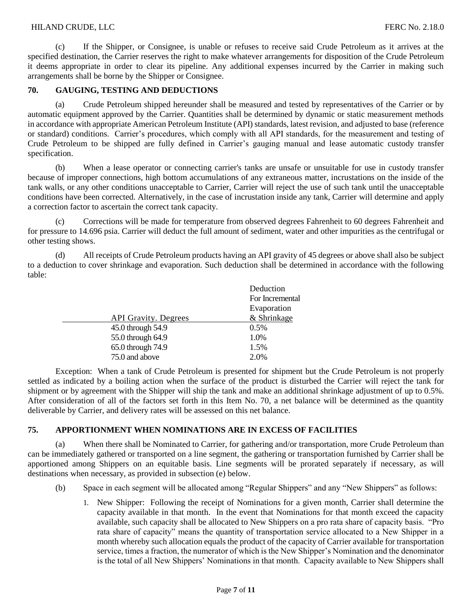# HILAND CRUDE, LLC FERC No. 2.18.0

(c) If the Shipper, or Consignee, is unable or refuses to receive said Crude Petroleum as it arrives at the specified destination, the Carrier reserves the right to make whatever arrangements for disposition of the Crude Petroleum it deems appropriate in order to clear its pipeline. Any additional expenses incurred by the Carrier in making such arrangements shall be borne by the Shipper or Consignee.

# **70. GAUGING, TESTING AND DEDUCTIONS**

(a) Crude Petroleum shipped hereunder shall be measured and tested by representatives of the Carrier or by automatic equipment approved by the Carrier. Quantities shall be determined by dynamic or static measurement methods in accordance with appropriate American Petroleum Institute (API) standards, latest revision, and adjusted to base (reference or standard) conditions. Carrier's procedures, which comply with all API standards, for the measurement and testing of Crude Petroleum to be shipped are fully defined in Carrier's gauging manual and lease automatic custody transfer specification.

(b) When a lease operator or connecting carrier's tanks are unsafe or unsuitable for use in custody transfer because of improper connections, high bottom accumulations of any extraneous matter, incrustations on the inside of the tank walls, or any other conditions unacceptable to Carrier, Carrier will reject the use of such tank until the unacceptable conditions have been corrected. Alternatively, in the case of incrustation inside any tank, Carrier will determine and apply a correction factor to ascertain the correct tank capacity.

(c) Corrections will be made for temperature from observed degrees Fahrenheit to 60 degrees Fahrenheit and for pressure to 14.696 psia. Carrier will deduct the full amount of sediment, water and other impurities as the centrifugal or other testing shows.

(d) All receipts of Crude Petroleum products having an API gravity of 45 degrees or above shall also be subject to a deduction to cover shrinkage and evaporation. Such deduction shall be determined in accordance with the following table:

| Deduction       |
|-----------------|
| For Incremental |
| Evaporation     |
| & Shrinkage     |
| 0.5%            |
| 1.0%            |
| 1.5%            |
| 2.0%            |
|                 |

Exception: When a tank of Crude Petroleum is presented for shipment but the Crude Petroleum is not properly settled as indicated by a boiling action when the surface of the product is disturbed the Carrier will reject the tank for shipment or by agreement with the Shipper will ship the tank and make an additional shrinkage adjustment of up to 0.5%. After consideration of all of the factors set forth in this Item No. 70, a net balance will be determined as the quantity deliverable by Carrier, and delivery rates will be assessed on this net balance.

#### **75. APPORTIONMENT WHEN NOMINATIONS ARE IN EXCESS OF FACILITIES**

(a) When there shall be Nominated to Carrier, for gathering and/or transportation, more Crude Petroleum than can be immediately gathered or transported on a line segment, the gathering or transportation furnished by Carrier shall be apportioned among Shippers on an equitable basis. Line segments will be prorated separately if necessary, as will destinations when necessary, as provided in subsection (e) below.

- (b) Space in each segment will be allocated among "Regular Shippers" and any "New Shippers" as follows:
	- 1. New Shipper: Following the receipt of Nominations for a given month, Carrier shall determine the capacity available in that month. In the event that Nominations for that month exceed the capacity available, such capacity shall be allocated to New Shippers on a pro rata share of capacity basis. "Pro rata share of capacity" means the quantity of transportation service allocated to a New Shipper in a month whereby such allocation equals the product of the capacity of Carrier available for transportation service, times a fraction, the numerator of which is the New Shipper's Nomination and the denominator is the total of all New Shippers' Nominations in that month. Capacity available to New Shippers shall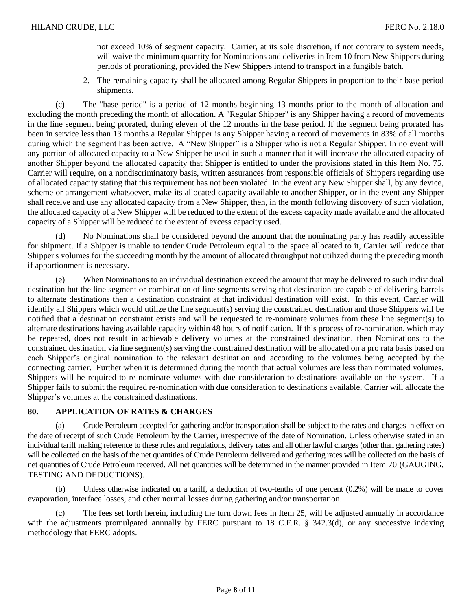not exceed 10% of segment capacity. Carrier, at its sole discretion, if not contrary to system needs, will waive the minimum quantity for Nominations and deliveries in Item 10 from New Shippers during periods of prorationing, provided the New Shippers intend to transport in a fungible batch.

2. The remaining capacity shall be allocated among Regular Shippers in proportion to their base period shipments.

(c) The "base period" is a period of 12 months beginning 13 months prior to the month of allocation and excluding the month preceding the month of allocation. A "Regular Shipper" is any Shipper having a record of movements in the line segment being prorated, during eleven of the 12 months in the base period. If the segment being prorated has been in service less than 13 months a Regular Shipper is any Shipper having a record of movements in 83% of all months during which the segment has been active. A "New Shipper" is a Shipper who is not a Regular Shipper. In no event will any portion of allocated capacity to a New Shipper be used in such a manner that it will increase the allocated capacity of another Shipper beyond the allocated capacity that Shipper is entitled to under the provisions stated in this Item No. 75. Carrier will require, on a nondiscriminatory basis, written assurances from responsible officials of Shippers regarding use of allocated capacity stating that this requirement has not been violated. In the event any New Shipper shall, by any device, scheme or arrangement whatsoever, make its allocated capacity available to another Shipper, or in the event any Shipper shall receive and use any allocated capacity from a New Shipper, then, in the month following discovery of such violation, the allocated capacity of a New Shipper will be reduced to the extent of the excess capacity made available and the allocated capacity of a Shipper will be reduced to the extent of excess capacity used.

(d) No Nominations shall be considered beyond the amount that the nominating party has readily accessible for shipment. If a Shipper is unable to tender Crude Petroleum equal to the space allocated to it, Carrier will reduce that Shipper's volumes for the succeeding month by the amount of allocated throughput not utilized during the preceding month if apportionment is necessary.

(e) When Nominations to an individual destination exceed the amount that may be delivered to such individual destination but the line segment or combination of line segments serving that destination are capable of delivering barrels to alternate destinations then a destination constraint at that individual destination will exist. In this event, Carrier will identify all Shippers which would utilize the line segment(s) serving the constrained destination and those Shippers will be notified that a destination constraint exists and will be requested to re-nominate volumes from these line segment(s) to alternate destinations having available capacity within 48 hours of notification. If this process of re-nomination, which may be repeated, does not result in achievable delivery volumes at the constrained destination, then Nominations to the constrained destination via line segment(s) serving the constrained destination will be allocated on a pro rata basis based on each Shipper's original nomination to the relevant destination and according to the volumes being accepted by the connecting carrier. Further when it is determined during the month that actual volumes are less than nominated volumes, Shippers will be required to re-nominate volumes with due consideration to destinations available on the system. If a Shipper fails to submit the required re-nomination with due consideration to destinations available, Carrier will allocate the Shipper's volumes at the constrained destinations.

## **80. APPLICATION OF RATES & CHARGES**

(a) Crude Petroleum accepted for gathering and/or transportation shall be subject to the rates and charges in effect on the date of receipt of such Crude Petroleum by the Carrier, irrespective of the date of Nomination. Unless otherwise stated in an individual tariff making reference to these rules and regulations, delivery rates and all other lawful charges (other than gathering rates) will be collected on the basis of the net quantities of Crude Petroleum delivered and gathering rates will be collected on the basis of net quantities of Crude Petroleum received. All net quantities will be determined in the manner provided in Item 70 (GAUGING, TESTING AND DEDUCTIONS).

(b) Unless otherwise indicated on a tariff, a deduction of two-tenths of one percent (0.2%) will be made to cover evaporation, interface losses, and other normal losses during gathering and/or transportation.

(c) The fees set forth herein, including the turn down fees in Item 25, will be adjusted annually in accordance with the adjustments promulgated annually by FERC pursuant to 18 C.F.R. § 342.3(d), or any successive indexing methodology that FERC adopts.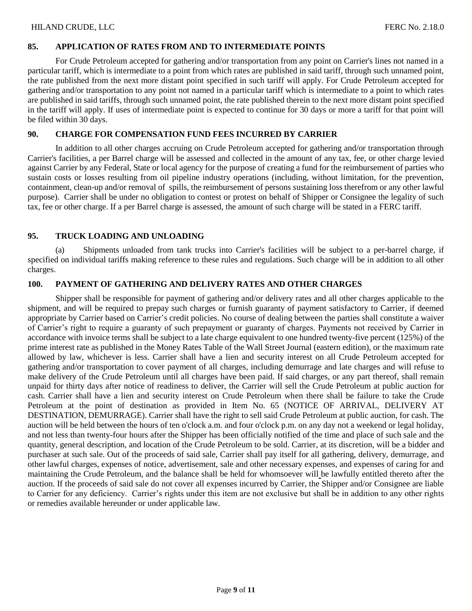# **85. APPLICATION OF RATES FROM AND TO INTERMEDIATE POINTS**

For Crude Petroleum accepted for gathering and/or transportation from any point on Carrier's lines not named in a particular tariff, which is intermediate to a point from which rates are published in said tariff, through such unnamed point, the rate published from the next more distant point specified in such tariff will apply. For Crude Petroleum accepted for gathering and/or transportation to any point not named in a particular tariff which is intermediate to a point to which rates are published in said tariffs, through such unnamed point, the rate published therein to the next more distant point specified in the tariff will apply. If uses of intermediate point is expected to continue for 30 days or more a tariff for that point will be filed within 30 days.

#### **90. CHARGE FOR COMPENSATION FUND FEES INCURRED BY CARRIER**

In addition to all other charges accruing on Crude Petroleum accepted for gathering and/or transportation through Carrier's facilities, a per Barrel charge will be assessed and collected in the amount of any tax, fee, or other charge levied against Carrier by any Federal, State or local agency for the purpose of creating a fund for the reimbursement of parties who sustain costs or losses resulting from oil pipeline industry operations (including, without limitation, for the prevention, containment, clean-up and/or removal of spills, the reimbursement of persons sustaining loss therefrom or any other lawful purpose). Carrier shall be under no obligation to contest or protest on behalf of Shipper or Consignee the legality of such tax, fee or other charge. If a per Barrel charge is assessed, the amount of such charge will be stated in a FERC tariff.

# **95. TRUCK LOADING AND UNLOADING**

(a) Shipments unloaded from tank trucks into Carrier's facilities will be subject to a per-barrel charge, if specified on individual tariffs making reference to these rules and regulations. Such charge will be in addition to all other charges.

# **100. PAYMENT OF GATHERING AND DELIVERY RATES AND OTHER CHARGES**

Shipper shall be responsible for payment of gathering and/or delivery rates and all other charges applicable to the shipment, and will be required to prepay such charges or furnish guaranty of payment satisfactory to Carrier, if deemed appropriate by Carrier based on Carrier's credit policies. No course of dealing between the parties shall constitute a waiver of Carrier's right to require a guaranty of such prepayment or guaranty of charges. Payments not received by Carrier in accordance with invoice terms shall be subject to a late charge equivalent to one hundred twenty-five percent (125%) of the prime interest rate as published in the Money Rates Table of the Wall Street Journal (eastern edition), or the maximum rate allowed by law, whichever is less. Carrier shall have a lien and security interest on all Crude Petroleum accepted for gathering and/or transportation to cover payment of all charges, including demurrage and late charges and will refuse to make delivery of the Crude Petroleum until all charges have been paid. If said charges, or any part thereof, shall remain unpaid for thirty days after notice of readiness to deliver, the Carrier will sell the Crude Petroleum at public auction for cash. Carrier shall have a lien and security interest on Crude Petroleum when there shall be failure to take the Crude Petroleum at the point of destination as provided in Item No. 65 (NOTICE OF ARRIVAL, DELIVERY AT DESTINATION, DEMURRAGE). Carrier shall have the right to sell said Crude Petroleum at public auction, for cash. The auction will be held between the hours of ten o'clock a.m. and four o'clock p.m. on any day not a weekend or legal holiday, and not less than twenty-four hours after the Shipper has been officially notified of the time and place of such sale and the quantity, general description, and location of the Crude Petroleum to be sold. Carrier, at its discretion, will be a bidder and purchaser at such sale. Out of the proceeds of said sale, Carrier shall pay itself for all gathering, delivery, demurrage, and other lawful charges, expenses of notice, advertisement, sale and other necessary expenses, and expenses of caring for and maintaining the Crude Petroleum, and the balance shall be held for whomsoever will be lawfully entitled thereto after the auction. If the proceeds of said sale do not cover all expenses incurred by Carrier, the Shipper and/or Consignee are liable to Carrier for any deficiency. Carrier's rights under this item are not exclusive but shall be in addition to any other rights or remedies available hereunder or under applicable law.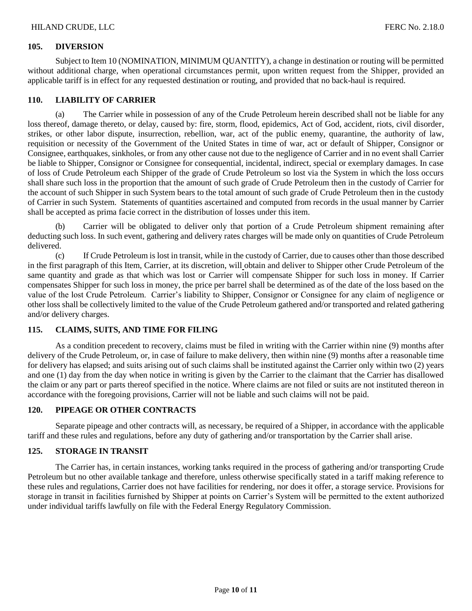#### **105. DIVERSION**

Subject to Item 10 (NOMINATION, MINIMUM QUANTITY), a change in destination or routing will be permitted without additional charge, when operational circumstances permit, upon written request from the Shipper, provided an applicable tariff is in effect for any requested destination or routing, and provided that no back-haul is required.

#### **110. LIABILITY OF CARRIER**

(a) The Carrier while in possession of any of the Crude Petroleum herein described shall not be liable for any loss thereof, damage thereto, or delay, caused by: fire, storm, flood, epidemics, Act of God, accident, riots, civil disorder, strikes, or other labor dispute, insurrection, rebellion, war, act of the public enemy, quarantine, the authority of law, requisition or necessity of the Government of the United States in time of war, act or default of Shipper, Consignor or Consignee, earthquakes, sinkholes, or from any other cause not due to the negligence of Carrier and in no event shall Carrier be liable to Shipper, Consignor or Consignee for consequential, incidental, indirect, special or exemplary damages. In case of loss of Crude Petroleum each Shipper of the grade of Crude Petroleum so lost via the System in which the loss occurs shall share such loss in the proportion that the amount of such grade of Crude Petroleum then in the custody of Carrier for the account of such Shipper in such System bears to the total amount of such grade of Crude Petroleum then in the custody of Carrier in such System. Statements of quantities ascertained and computed from records in the usual manner by Carrier shall be accepted as prima facie correct in the distribution of losses under this item.

Carrier will be obligated to deliver only that portion of a Crude Petroleum shipment remaining after deducting such loss. In such event, gathering and delivery rates charges will be made only on quantities of Crude Petroleum delivered.

(c) If Crude Petroleum is lost in transit, while in the custody of Carrier, due to causes other than those described in the first paragraph of this Item, Carrier, at its discretion, will obtain and deliver to Shipper other Crude Petroleum of the same quantity and grade as that which was lost or Carrier will compensate Shipper for such loss in money. If Carrier compensates Shipper for such loss in money, the price per barrel shall be determined as of the date of the loss based on the value of the lost Crude Petroleum. Carrier's liability to Shipper, Consignor or Consignee for any claim of negligence or other loss shall be collectively limited to the value of the Crude Petroleum gathered and/or transported and related gathering and/or delivery charges.

# **115. CLAIMS, SUITS, AND TIME FOR FILING**

As a condition precedent to recovery, claims must be filed in writing with the Carrier within nine (9) months after delivery of the Crude Petroleum, or, in case of failure to make delivery, then within nine (9) months after a reasonable time for delivery has elapsed; and suits arising out of such claims shall be instituted against the Carrier only within two (2) years and one (1) day from the day when notice in writing is given by the Carrier to the claimant that the Carrier has disallowed the claim or any part or parts thereof specified in the notice. Where claims are not filed or suits are not instituted thereon in accordance with the foregoing provisions, Carrier will not be liable and such claims will not be paid.

#### **120. PIPEAGE OR OTHER CONTRACTS**

Separate pipeage and other contracts will, as necessary, be required of a Shipper, in accordance with the applicable tariff and these rules and regulations, before any duty of gathering and/or transportation by the Carrier shall arise.

# **125. STORAGE IN TRANSIT**

The Carrier has, in certain instances, working tanks required in the process of gathering and/or transporting Crude Petroleum but no other available tankage and therefore, unless otherwise specifically stated in a tariff making reference to these rules and regulations, Carrier does not have facilities for rendering, nor does it offer, a storage service. Provisions for storage in transit in facilities furnished by Shipper at points on Carrier's System will be permitted to the extent authorized under individual tariffs lawfully on file with the Federal Energy Regulatory Commission.